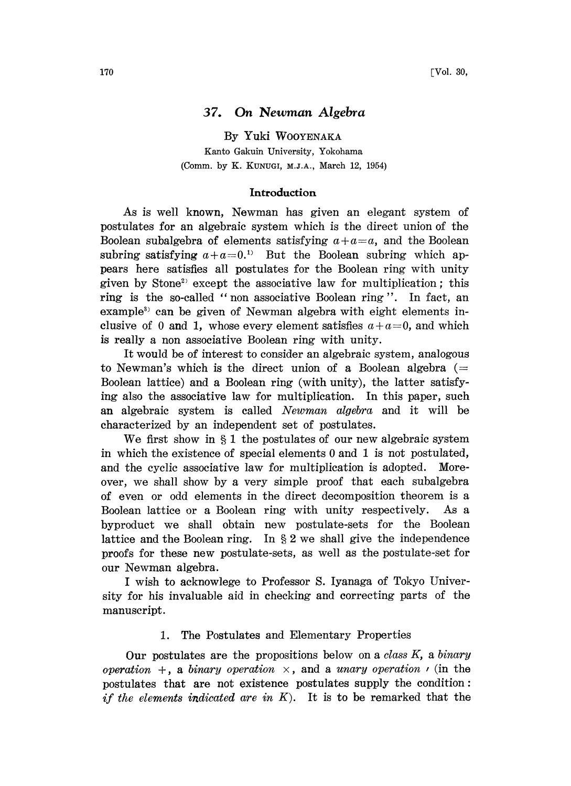# 37. On Newman Algebra

By Yuki WOOYENAKA Kanto Gakuin University, Yokohama (Comm. by K. KUNUCI, M.J.A., March 12, 1954)

#### Introduction

As is well known, Newman has given an elegant system of postulates for an algebraic system which is the direct union of the Boolean subalgebra of elements satisfying  $a + a = a$ , and the Boolean subring satisfying  $a+a=0$ .<sup>1)</sup> But the Boolean subring which appears here satisfies all postulates for the Boolean ring with unity given by Stone<sup>2</sup> except the associative law for multiplication; this ring is the so-called "non associative Boolean ring". In fact, an example<sup>3)</sup> can be given of Newman algebra with eight elements inclusive of 0 and 1, whose every element satisfies  $a + a = 0$ , and which is really a non associative Boolean ring with unity.

It would be of interest to consider an algebraic system, analogous to Newman's which is the direct union of a Boolean algebra  $(=$ Boolean lattice) and a Boolean ring (with unity), the latter satisfying also the associative law for multiplication. In this paper, such an algebraic system is called Newman algebra and it will be characterized by an independent set of postulates.

We first show in  $\S 1$  the postulates of our new algebraic system in which the existence of special elements 0 and 1 is not postulated, and the cyclic associative law for multiplication is adopted. Moreover, we shall show by a very simple proof that each subalgebra of even or odd elements in the direct decomposition theorem is a Boolean lattice or a Boolean ring with unity respectively. As a byproduct we shall obtain new postulate-sets for the Boolean lattice and the Boolean ring. In  $\S 2$  we shall give the independence proofs for these new postulate-sets, as well as the postulate-set for our Newman algebra.

<sup>I</sup> wish to acknowlege to Professor S. Iyanaga of Tokyo University for his invaluable aid in checking and correcting parts of the manuscript.

### 1. The Postulates and Elementary Properties

Our postulates are the propositions below on a class  $K$ , a binary operation  $+$ , a binary operation  $\times$ , and a unary operation  $\prime$  (in the postulates that are not existence postulates supply the condition: if the elements indicated are in  $K$ ). It is to be remarked that the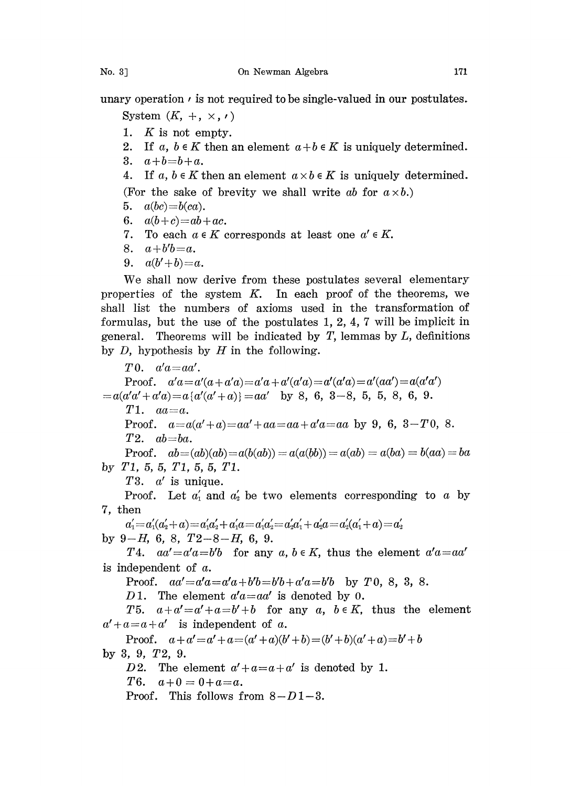unary operation  $\prime$  is not required to be single-valued in our postulates.

System  $(K, +, \times, \cdot)$ 

- 1.  $K$  is not empty.
- 2. If a,  $b \in K$  then an element  $a+b \in K$  is uniquely determined.
- 3.  $a+b=b+a$ .

4. If a,  $b \in K$  then an element  $a \times b \in K$  is uniquely determined. (For the sake of brevity we shall write ab for  $a \times b$ .)

- 5.  $a(bc)=b(ca)$ .
- 6.  $a(b+c)=ab+ac$ .
- 7. To each  $a \in K$  corresponds at least one  $a' \in K$ .
- 8.  $a+b'b=a$ .
- 9.  $a(b'+b)=a$ .

We shall now derive from these postulates several elementary properties of the system  $K$ . In each proof of the theorems, we shall list the numbers of axioms used in the transformation of formulas, but the use of the postulates  $1, 2, 4, 7$  will be implicit in general. Theorems will be indicated by  $T$ , lemmas by  $L$ , definitions by  $D$ , hypothesis by  $H$  in the following.

 $T0. a'a = aa'.$ Proof.  $a'a = a'(a + a'a) = a'a + a'(a'a) = a'(a'a) = a'(aa') = a(a'a')$  $=a(a'a'+a'a)=a\{a'(a'+a)\}=aa'$  by 8, 6, 3-8, 5, 5, 8, 6, 9.  $T1.$   $aa=a.$ Proof.  $a=a(a'+a)=aa'+aa=aa+a'a=aa$  by 9, 6, 3-T0, 8.  $T2.$   $ab = ba.$ Proof.  $ab = (ab)(ab) = a(b(ab)) = a(a(bb)) = a(ab) = a(ba) = b(aa) = ba$ by T1, 5, 5, T1, 5, 5, T1. T3.  $a'$  is unique. Proof. Let  $a'_1$  and  $a'_2$  be two elements corresponding to a by 7, then  $a_1' {=} a_1' (a_2' {+} a) {=} a_1' a_2' {+} a_1' a {=} a_1' a_2' {=} a_2' a_1' {+} a_2' a {=} a_2' (a_1' {+} a) {=} a_2'$ by  $9-H$ , 6, 8,  $T2-8-H$ , 6, 9. T4.  $aa' = a'a = b'b$  for any a,  $b \in K$ , thus the element  $a'a = aa'$ is independent of  $a$ . Proof.  $aa' = a'a = a'a + b'b = b'b + a'a = b'b$  by T 0, 8, 3, 8. D 1. The element  $a'a=aa'$  is denoted by 0. T5.  $a+a'=a'+a=b'+b$  for any a,  $b \in K$ , thus the element  $a' + a = a + a'$  is independent of a. Proof.  $a+a'=a'+a=(a'+a)(b'+b)=(b'+b)(a'+a)=b'+b$ by3, 9, T2, 9. D2. The element  $a' + a = a + a'$  is denoted by 1.<br>T6.  $a+0=0+a=a$ .  $a+0 = 0+a=a.$ Proof. This follows from  $8-D1-3$ .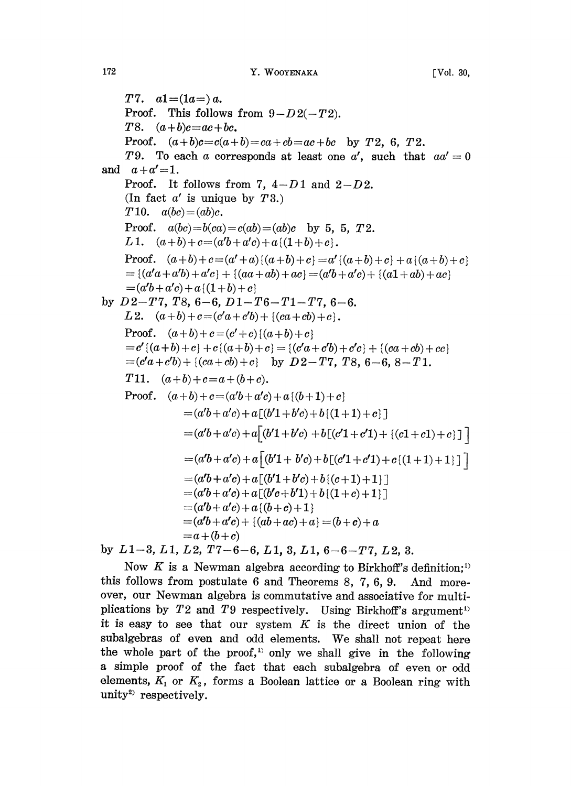T7.  $a1 = (1a) a$ . Proof. This follows from  $9-D2(-T2)$ . T8.  $(a+b)c = ac + bc$ . Proof.  $(a+b)c=c(a+b)=ca+cb=ac+bc$  by T2, 6, T2. T9. To each a corresponds at least one a', such that  $aa' = 0$ and  $a + a' = 1$ .  $a+a=1$ .<br>Proof. It follows from 7,  $4-D1$  and  $2-D2$ . (In fact  $a'$  is unique by  $T3$ .) T10.  $a(bc)=(ab)c$ . Proof.  $a(bc)=b(ca)=c(ab)=(ab)c$  by 5, 5, 72. L1.  $(a+b)+c=(a'b+a'c)+a{(1+b)+c}$ . Proof.  $(a+b)+c = (a'+a)\{(a+b)+c\} = a'\{(a+b)+c\}+ a\{(a+b)+c\}$  $= \{(a'a+a'b) + a'c\} + \{(aa+ab) + ac\} = (a'b+a'c) + \{(a1+ab) + ac\}$  $=(a'b + a'c) + a$  { $(1 + b) + c$ } by  $D2-T7$ ,  $T8$ ,  $6-6$ ,  $D1-T6-T1-T7$ ,  $6-6$ . L2.  $(a+b)+c=(c'a+c'b)+\{(ca+cb)+c\}.$ Proof.  $(a+b)+c = (c'+c)$   $\{(a+b)+c\}$  $=c'$   $\{(a+b)+c\} +c\{(a+b)+c\} = \{(c'a+c'b)+c'c\} + \{(ca+cb)+cc\}$  $=(c'a+c'b)+((ca+cb)+c)$  by  $D2-T7$ , T8, 6-6, 8-T1. T11.  $(a+b)+c=a+(b+c)$ . Proof.  $(a+b)+c=(a'b+a'c)+a{(b+1)}+c$  $=(a'b+a'c)+a\lceil(b'1+b'c)+b\lceil(1+1)+c\rceil$  $=(a'b+a'c)+a[(b'1+b'c)+b[(c'1+c'1)+((c1+c1)+c)]$  $=\left(a'b + a'c\right) + a\left\lfloor \left(b'1 + b'c\right) + b\left[\left(c'1 + c'1\right) + c\left\{ \left(1 + 1\right) + 1\right\} \right]\right\rfloor$  $=(a'b + a'c) + a[(b'1 + b'c) + b[(c + 1) + 1]$  $(a'b + a'c) + a[(b'c + b'1) + b((1 + c) + 1)]$  $(a'b + a'c) + a\{(b+c)+1\}$  $(a'b + a'c) + \{(ab + ac) + a\} = (b + c) + a$  $=a+(b+c)$ by  $L1-3$ ,  $L1$ ,  $L2$ ,  $T7-6-6$ ,  $L1$ ,  $3$ ,  $L1$ ,  $6-6-T7$ ,  $L2$ ,  $3$ .

Now K is a Newman algebra according to Birkhoff's definition;<sup>1)</sup> this follows from postulate 6 and Theorems 8, 7, 6, 9. And moreover, our Newman algebra is commutative and associative for multiplications by  $T2$  and  $T9$  respectively. Using Birkhoff's argument<sup>1)</sup> it is easy to see that our system  $K$  is the direct union of the subalgebras of even and odd elements. We shall not repeat here the whole part of the proof,<sup>1)</sup> only we shall give in the following a simple proof of the fact that each subalgebra of even or odd elements,  $K_1$  or  $K_2$ , forms a Boolean lattice or a Boolean ring with  $unity<sup>2)</sup>$  respectively.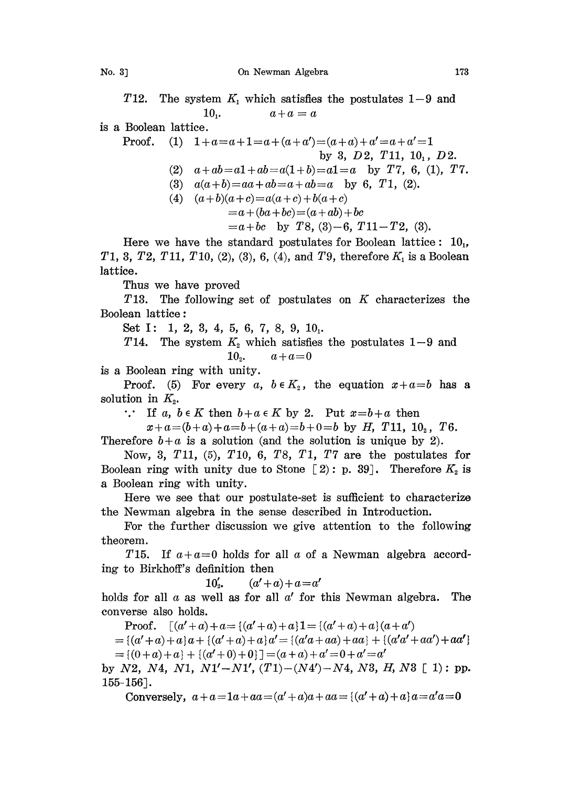T12. The system  $K_1$  which satisfies the postulates 1-9 and 10.  $a+a=a$  $a + a = a$ 

is a Boolean lattice.

Proof. (1)  $1+a=a+1=a+(a+a')=(a+a)+a'=a+a'=1$ by 3,  $D2, T11, 10, D2.$ (2)  $a+ab=a1+ab=a(1+b)=a1=a$  by T7, 6, (1), T7. (3)  $a(a+b)=aa+ab=a+ab=a$  by 6, T1, (2). (4)  $(a+b)(a+c) = a(a+c) + b(a+c)$  $=a+(ba+bc)=(a+ab)+bc$  $=a+bc$  by T8, (3)-6, T11-T2, (3).

Here we have the standard postulates for Boolean lattice:  $10<sub>1</sub>$ , T1, 3, T2, T11, T10, (2), (3), 6, (4), and T9, therefore  $K_1$  is a Boolean lattice.

Thus we have proved

T13. The following set of postulates on  $K$  characterizes the Boolean lattice:

Set I: 1, 2, 3, 4, 5, 6, 7, 8, 9,  $10<sub>1</sub>$ .

T14. The system  $K_2$  which satisfies the postulates 1-9 and 10<sub>2</sub>.  $a+a=0$ 

is a Boolean ring with unity.

Proof. (5) For every a,  $b \in K_2$ , the equation  $x+a=b$  has a solution in  $K<sub>2</sub>$ .

... If a,  $b \in K$  then  $b+a \in K$  by 2. Put  $x=b+a$  then

 $x+a=(b+a)+a=b+(a+a)=b+0=b$  by H, T11,  $10<sub>2</sub>$ , T6.

Therefore  $b+a$  is a solution (and the solution is unique by 2).

Now, 3, T11,  $(5)$ , T10, 6, T8, T1, T7 are the postulates for Boolean ring with unity due to Stone  $[2]$ : p. 39]. Therefore  $K_2$  is a Boolean ring with unity.

Here we see that our postulate-set is sufficient to characterizo the Newman algebra in the sense described in Introduction.

For the further discussion we give attention to the following heorem.

T15. If  $a+a=0$  holds for all a of a Newman algebra according to Birkhoff's definition then

10'<sub>2</sub>,  $(a'+a)+a=a'$ 

holds for all  $a$  as well as for all  $a'$  for this Newman algebra. The converse also holds.

**Proof.**  $\left[ (a' + a) + a = \{(a' + a) + a\} \mathbf{1} = \{(a' + a) + a\} (a + a') \right]$ 

 $= {(a' + a) + a} a + {(a' + a) + a} a' = {(a'a + aa) + aa} + {(a'a' + aa') + aa'}$  $= \{(0+a)+a\} + \{(a'+0)+0\}$ ]  $= (a+a)+a'=0+a'=a'$ 

by N2, N4, N1, N1'-N1',  $(T1)-(N4')-N4$ , N3, H, N3 [1): pp.  $155 - 156$ .

Conversely,  $a + a = 1a + aa = (a' + a)a + aa = (a' + a) + a)a = a'a = 0$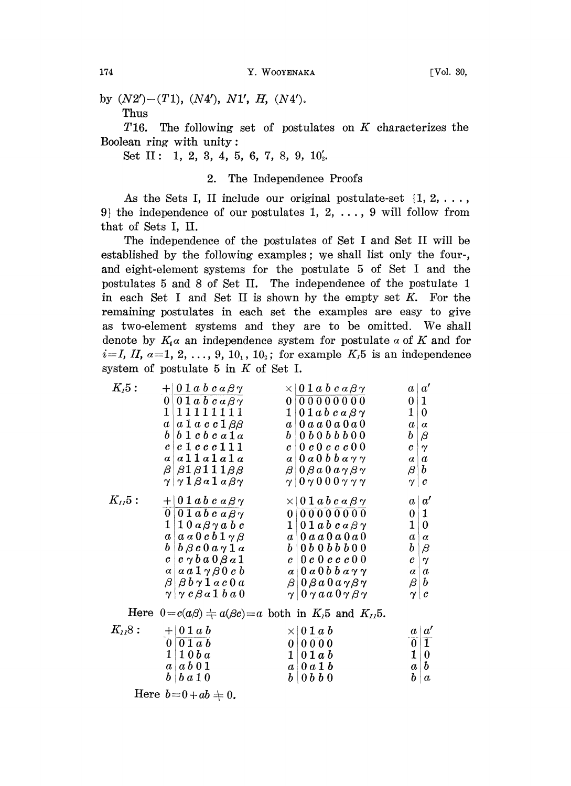by  $(N2') - (T1)$ ,  $(N4')$ ,  $N1'$ ,  $H$ ,  $(N4')$ . Thus

T<sub>16</sub>. The following set of postulates on  $K$  characterizes the Boolean ring with unity:

Set II: 1, 2, 3, 4, 5, 6, 7, 8, 9,  $10'_2$ .

## 2. The Independence Proofs

As the Sets I, II include our original postulate-set  $\{1, 2, \ldots\}$ 9) the independence of our postulates 1, 2,  $\dots$ , 9 will follow from that of Sets I, II.

The independence of the postulates of Set I and Set II will be established by the following examples; we shall list only the fourand eight-element systems for the postulate 5 of Set I and the postulates 5 and 8 of Set II. The independence of the postulate 1 in each Set I and Set II is shown by the empty set  $K$ . For the remaining postulates in each set the examples are easy to give as two-element systems and they are to be omitted. We shall denote by  $K_i \alpha$  an independence system for postulate  $\alpha$  of K and for  $i=I, II, a=1, 2, ..., 9, 10, 10, 10$ ; for example  $K_15$  is an independence system of postulate 5 in  $K$  of Set I.

| $K_I 5:$   | $+01a b c a \beta \gamma$                                          | $\times$   0 1 $a$ $b$ $c$ $a$ $\beta$ $\gamma$                  |                  | a   a'            |
|------------|--------------------------------------------------------------------|------------------------------------------------------------------|------------------|-------------------|
|            | $0   0 1 a b c a \beta \gamma$                                     | 0 0 0 0 0 0 0 0 0                                                | 0 1              |                   |
|            | 1 11111111                                                         | $1 \vert 0 1 a b c a \beta \gamma$                               | 1                | $\theta$          |
|            | $a \mid a \mid a \; c \; c \; 1 \; \beta \beta$                    | $a \, \, 0 \,a \,a \,0 \,a \,0 \,a \,0$                          | $\it a$          | $\alpha$          |
|            | $b$ 1 $c$ $b$ $c$ $a$ 1 $a$<br>b <sub>1</sub>                      | $b \mid 0 b 0 b b b 0 0$                                         | $\bm{b}$         | $\beta$           |
|            | c c 1 c c c 111                                                    | $c \;   \; 0 \; c \; 0 \; c \; c \; c \; 0 \; 0 \;  $            | $\boldsymbol{c}$ | $\gamma$          |
|            | a a11a1a1a                                                         | $a \mid 0 a 0 b b a \gamma \gamma$                               | $a \mid a$       |                   |
|            | $\beta$ $\beta$ $1$ $\beta$ $1$ $1$ $1$ $\beta$ $\beta$            | $\beta$   0 $\beta$ a 0 a $\gamma$ $\beta$ $\gamma$              | $\beta   b$      |                   |
|            | $\gamma   \gamma 1 \beta a 1 a \beta \gamma$                       | $\gamma$   0 $\gamma$ 0 0 0 $\gamma$ $\gamma$ $\gamma$           | $\gamma \mid c$  |                   |
| $K_{II}5:$ | $+01ab\,c\,a\beta\gamma$                                           | $\times$   0 1 a b c a $\beta$ y                                 |                  | a   a'            |
|            | $0   0 1 ab c a \beta \gamma$                                      | 0 000000000                                                      | 0 1              |                   |
|            | $1 \, \, 1 \,0 \,a \,\beta \,\gamma \,a \;b \;c$                   | $1 \mid 0 1 abcaBy$                                              | 1                | $\mathbf{0}$      |
|            | $a \,   \, a \, a \, 0 \, c \, b \, 1 \, \gamma \, \beta$          | $a \mid 0$ a a $0$ a $0$ a $0$                                   | $\it a$          | $\alpha$          |
|            | b<br>$\vert b \, \beta \, c \, 0 \, a \, \gamma \, 1 \, a \vert$   | $b \mid 0 b \mid 0 b b b \mid 0 0$                               | $\bm{b}$         | $\beta$           |
|            | $c \mid c \mid \gamma b \mid a \mid 0 \beta \mid a \mid 1$         | $c \,   \, 0 \, c \, 0 \, c \, c \, c \, 0 \, 0$                 | $\mathcal{C}^-$  | $\mathbf{\nabla}$ |
|            | $a \mid a \mathbin{\textcolor{red}{a}} 1 \gamma \beta 0 \; c \; b$ | $a \mid 0 a 0 b b a \gamma \gamma$                               |                  | $a \mid a$        |
|            | $\beta\vert\,\beta\,b\, \gamma\, 1$ a c $0$ a $\vert$              | $\beta$   0 $\beta$ a 0 a $\gamma$ $\beta$ $\gamma$              |                  | $\beta   b $      |
|            | $\gamma$ $\gamma c \beta a 1 b a 0$                                | $\gamma$   0 $\gamma$ a a 0 $\gamma$ $\beta$ $\gamma$            |                  | $\gamma \mid c$   |
|            |                                                                    | Here $0 = c(a\beta) + a(\beta c) = a$ both in $K15$ and $K115$ . |                  |                   |
| $K_{12}8:$ | $+101ab$                                                           | $\times 01ab$                                                    |                  | $a \mid a'$       |

| $K_{12}8:$ | $+01ab$                         | $\times 01ab$           | a   a'        |          |
|------------|---------------------------------|-------------------------|---------------|----------|
|            | 0   0 1 a b                     | 010000                  |               |          |
|            | $1 \mid 1 \mid 0 \mid b \mid a$ | $1 \, \, 0 \,1 \,a \,b$ | 1 0           |          |
|            | $a \mid a b \mid 0 1$           | $a \mid 0$ a 1 b        | $a \,   \, b$ |          |
|            | $b \mid b \mid a \mid 0$        | $b \, \, 0 \,b \,b \,0$ | h l           | $\alpha$ |

Here  $b=0+ab=0$ .